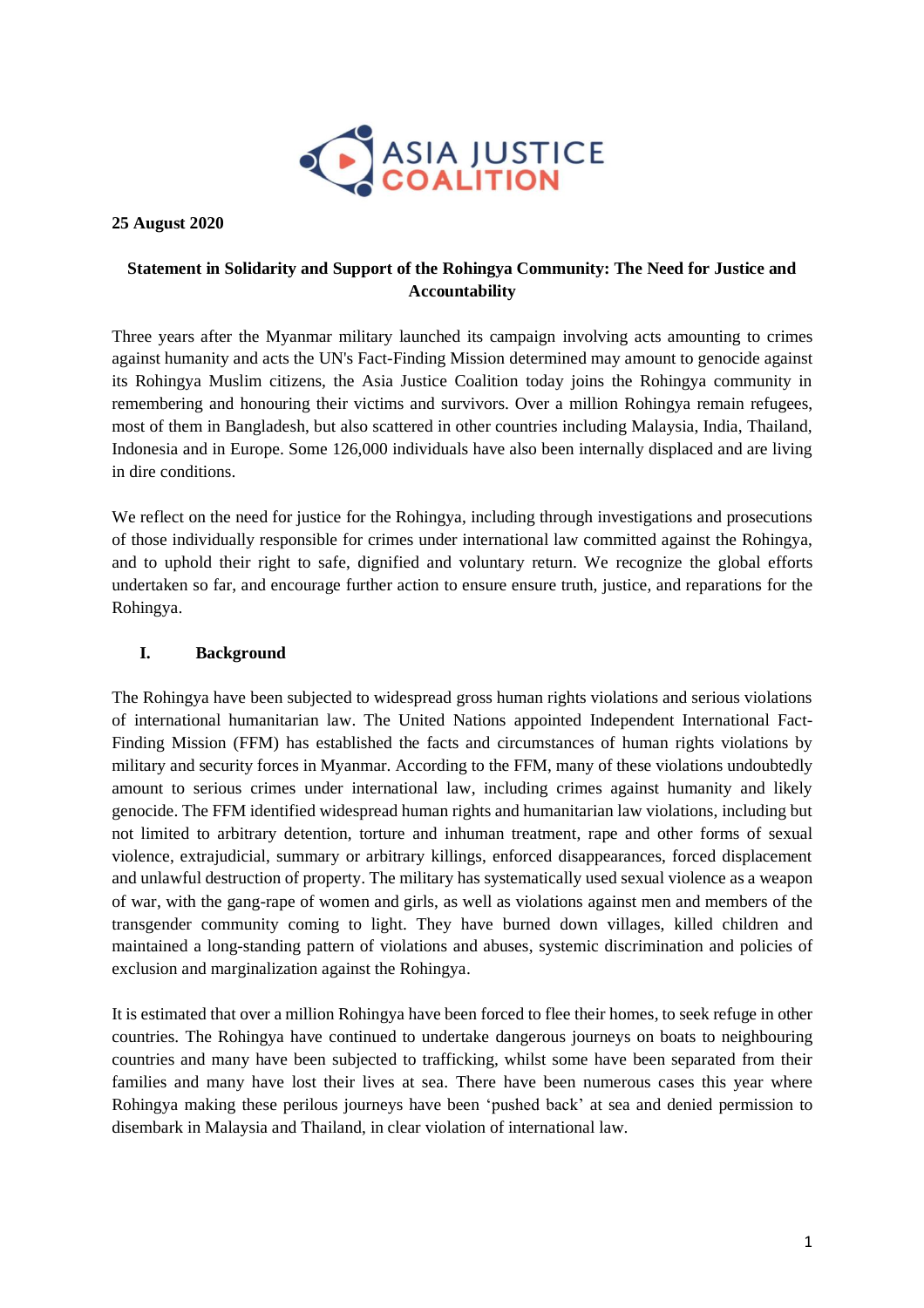

#### **25 August 2020**

# **Statement in Solidarity and Support of the Rohingya Community: The Need for Justice and Accountability**

Three years after the Myanmar military launched its campaign involving acts amounting to crimes against humanity and acts the UN's Fact-Finding Mission determined may amount to genocide against its Rohingya Muslim citizens, the Asia Justice Coalition today joins the Rohingya community in remembering and honouring their victims and survivors. Over a million Rohingya remain refugees, most of them in Bangladesh, but also scattered in other countries including Malaysia, India, Thailand, Indonesia and in Europe. Some 126,000 individuals have also been internally displaced and are living in dire conditions.

We reflect on the need for justice for the Rohingya, including through investigations and prosecutions of those individually responsible for crimes under international law committed against the Rohingya, and to uphold their right to safe, dignified and voluntary return. We recognize the global efforts undertaken so far, and encourage further action to ensure ensure truth, justice, and reparations for the Rohingya.

### **I. Background**

The Rohingya have been subjected to widespread gross human rights violations and serious violations of international humanitarian law. The United Nations appointed Independent International Fact-Finding Mission (FFM) has established the facts and circumstances of human rights violations by military and security forces in Myanmar. According to the FFM, many of these violations undoubtedly amount to serious crimes under international law, including crimes against humanity and likely genocide. The FFM identified widespread human rights and humanitarian law violations, including but not limited to arbitrary detention, torture and inhuman treatment, rape and other forms of sexual violence, extrajudicial, summary or arbitrary killings, enforced disappearances, forced displacement and unlawful destruction of property. The military has systematically used sexual violence as a weapon of war, with the gang-rape of women and girls, as well as violations against men and members of the transgender community coming to light. They have burned down villages, killed children and maintained a long-standing pattern of violations and abuses, systemic discrimination and policies of exclusion and marginalization against the Rohingya.

It is estimated that over a million Rohingya have been forced to flee their homes, to seek refuge in other countries. The Rohingya have continued to undertake dangerous journeys on boats to neighbouring countries and many have been subjected to trafficking, whilst some have been separated from their families and many have lost their lives at sea. There have been numerous cases this year where Rohingya making these perilous journeys have been 'pushed back' at sea and denied permission to disembark in Malaysia and Thailand, in clear violation of international law.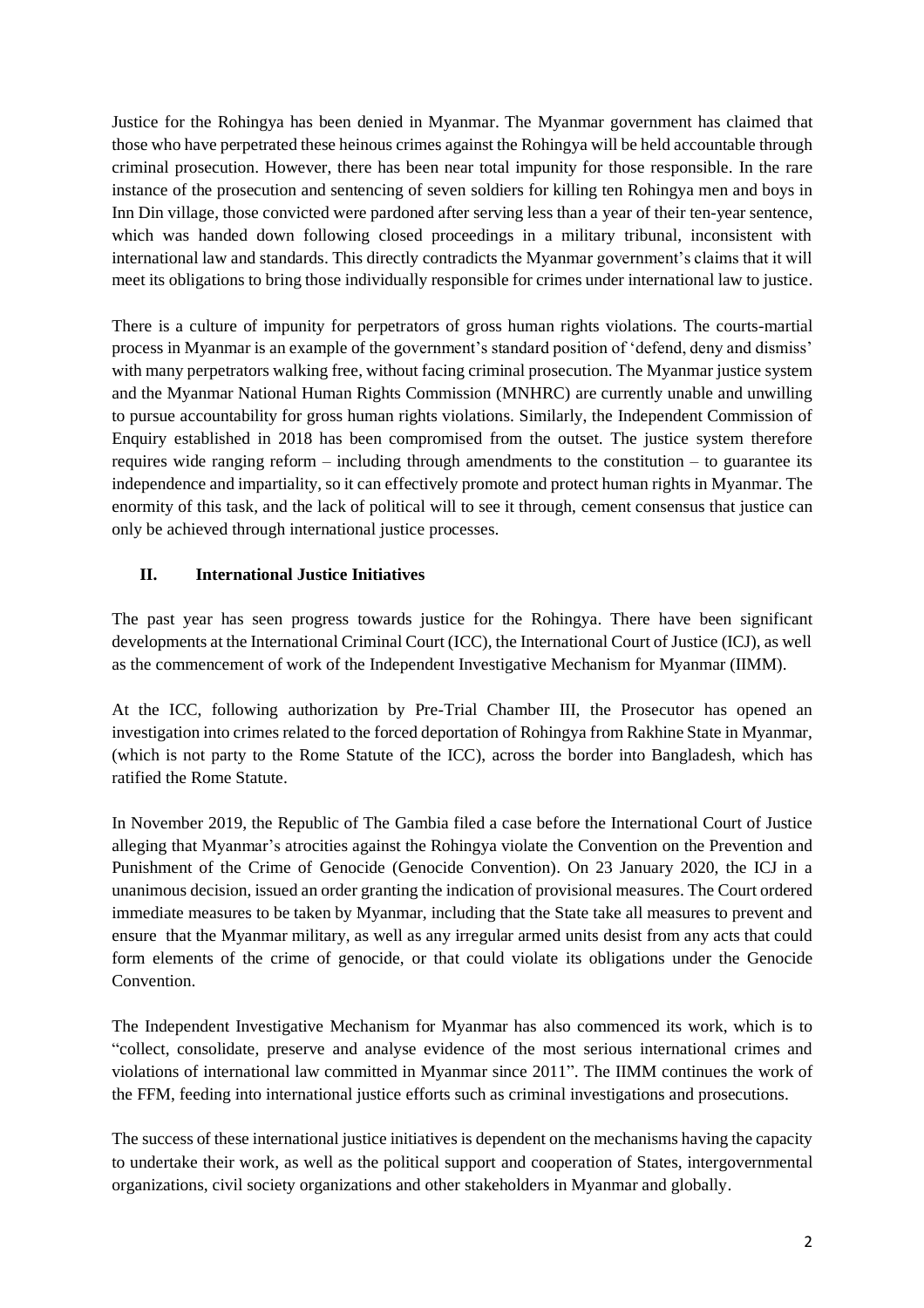Justice for the Rohingya has been denied in Myanmar. The Myanmar government has claimed that those who have perpetrated these heinous crimes against the Rohingya will be held accountable through criminal prosecution. However, there has been near total impunity for those responsible. In the rare instance of the prosecution and sentencing of seven soldiers for killing ten Rohingya men and boys in Inn Din village, those convicted were pardoned after serving less than a year of their ten-year sentence, which was handed down following closed proceedings in a military tribunal, inconsistent with international law and standards. This directly contradicts the Myanmar government's claims that it will meet its obligations to bring those individually responsible for crimes under international law to justice.

There is a culture of impunity for perpetrators of gross human rights violations. The courts-martial process in Myanmar is an example of the government's standard position of 'defend, deny and dismiss' with many perpetrators walking free, without facing criminal prosecution. The Myanmar justice system and the Myanmar National Human Rights Commission (MNHRC) are currently unable and unwilling to pursue accountability for gross human rights violations. Similarly, the Independent Commission of Enquiry established in 2018 has been compromised from the outset. The justice system therefore requires wide ranging reform – including through amendments to the constitution – to guarantee its independence and impartiality, so it can effectively promote and protect human rights in Myanmar. The enormity of this task, and the lack of political will to see it through, cement consensus that justice can only be achieved through international justice processes.

## **II. International Justice Initiatives**

The past year has seen progress towards justice for the Rohingya. There have been significant developments at the International Criminal Court (ICC), the International Court of Justice (ICJ), as well as the commencement of work of the Independent Investigative Mechanism for Myanmar (IIMM).

At the ICC, following authorization by Pre-Trial Chamber III, the Prosecutor has opened an investigation into crimes related to the forced deportation of Rohingya from Rakhine State in Myanmar, (which is not party to the Rome Statute of the ICC), across the border into Bangladesh, which has ratified the Rome Statute.

In November 2019, the Republic of The Gambia filed a case before the International Court of Justice alleging that Myanmar's atrocities against the Rohingya violate the Convention on the Prevention and Punishment of the Crime of Genocide (Genocide Convention). On 23 January 2020, the ICJ in a unanimous decision, issued an order granting the indication of provisional measures. The Court ordered immediate measures to be taken by Myanmar, including that the State take all measures to prevent and ensure that the Myanmar military, as well as any irregular armed units desist from any acts that could form elements of the crime of genocide, or that could violate its obligations under the Genocide **Convention** 

The Independent Investigative Mechanism for Myanmar has also commenced its work, which is to "collect, consolidate, preserve and analyse evidence of the most serious international crimes and violations of international law committed in Myanmar since 2011". The IIMM continues the work of the FFM, feeding into international justice efforts such as criminal investigations and prosecutions.

The success of these international justice initiatives is dependent on the mechanisms having the capacity to undertake their work, as well as the political support and cooperation of States, intergovernmental organizations, civil society organizations and other stakeholders in Myanmar and globally.